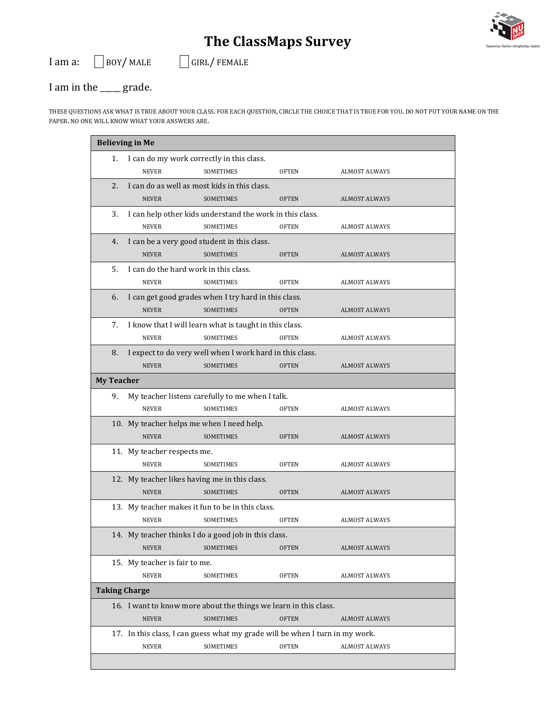## **The ClassMaps Survey**





## I am in the <u>equiling</u> grade.

THESE QUESTIONS ASK WHAT IS TRUE ABOUT YOUR CLASS. FOR EACH QUESTION, CIRCLE THE CHOICE THAT IS TRUE FOR YOU. DO NOT PUT YOUR NAME ON THE PAPER. NO ONE WILL KNOW WHAT YOUR ANSWERS ARE.

| <b>Believing in Me</b>                        |                                                                              |                                                                  |              |                      |  |  |  |  |
|-----------------------------------------------|------------------------------------------------------------------------------|------------------------------------------------------------------|--------------|----------------------|--|--|--|--|
| 1.                                            |                                                                              | I can do my work correctly in this class.                        |              |                      |  |  |  |  |
|                                               | <b>NEVER</b>                                                                 | <b>SOMETIMES</b>                                                 | <b>OFTEN</b> | <b>ALMOST ALWAYS</b> |  |  |  |  |
| 2.                                            | I can do as well as most kids in this class.                                 |                                                                  |              |                      |  |  |  |  |
|                                               | <b>NEVER</b>                                                                 | <b>SOMETIMES</b>                                                 | <b>OFTEN</b> | <b>ALMOST ALWAYS</b> |  |  |  |  |
| 3.                                            | I can help other kids understand the work in this class.                     |                                                                  |              |                      |  |  |  |  |
|                                               | <b>NEVER</b>                                                                 | <b>SOMETIMES</b>                                                 | <b>OFTEN</b> | <b>ALMOST ALWAYS</b> |  |  |  |  |
| 4.                                            |                                                                              | I can be a very good student in this class.                      |              |                      |  |  |  |  |
|                                               | <b>NEVER</b>                                                                 | <b>SOMETIMES</b>                                                 | <b>OFTEN</b> | <b>ALMOST ALWAYS</b> |  |  |  |  |
| 5.                                            |                                                                              | I can do the hard work in this class.                            |              |                      |  |  |  |  |
|                                               | <b>NEVER</b>                                                                 | <b>SOMETIMES</b>                                                 | <b>OFTEN</b> | <b>ALMOST ALWAYS</b> |  |  |  |  |
| 6.                                            |                                                                              | I can get good grades when I try hard in this class.             |              |                      |  |  |  |  |
|                                               | <b>NEVER</b>                                                                 | <b>SOMETIMES</b>                                                 | <b>OFTEN</b> | <b>ALMOST ALWAYS</b> |  |  |  |  |
| 7.                                            |                                                                              | I know that I will learn what is taught in this class.           |              |                      |  |  |  |  |
|                                               | <b>NEVER</b>                                                                 | SOMETIMES                                                        | <b>OFTEN</b> | <b>ALMOST ALWAYS</b> |  |  |  |  |
| 8.                                            |                                                                              | I expect to do very well when I work hard in this class.         |              |                      |  |  |  |  |
|                                               | <b>NEVER</b>                                                                 | <b>SOMETIMES</b>                                                 | <b>OFTEN</b> | <b>ALMOST ALWAYS</b> |  |  |  |  |
|                                               | <b>My Teacher</b>                                                            |                                                                  |              |                      |  |  |  |  |
| 9.                                            |                                                                              | My teacher listens carefully to me when I talk.                  |              |                      |  |  |  |  |
|                                               | <b>NEVER</b>                                                                 | SOMETIMES                                                        | <b>OFTEN</b> | <b>ALMOST ALWAYS</b> |  |  |  |  |
|                                               |                                                                              | 10. My teacher helps me when I need help.                        |              |                      |  |  |  |  |
|                                               | <b>NEVER</b>                                                                 | <b>SOMETIMES</b>                                                 | <b>OFTEN</b> | <b>ALMOST ALWAYS</b> |  |  |  |  |
|                                               | 11. My teacher respects me.                                                  |                                                                  |              |                      |  |  |  |  |
|                                               | <b>NEVER</b>                                                                 | SOMETIMES                                                        | <b>OFTEN</b> | <b>ALMOST ALWAYS</b> |  |  |  |  |
| 12. My teacher likes having me in this class. |                                                                              |                                                                  |              |                      |  |  |  |  |
|                                               | <b>NEVER</b>                                                                 | <b>SOMETIMES</b>                                                 | <b>OFTEN</b> | <b>ALMOST ALWAYS</b> |  |  |  |  |
|                                               |                                                                              | 13. My teacher makes it fun to be in this class.                 |              |                      |  |  |  |  |
|                                               | <b>NEVER</b>                                                                 | <b>SOMETIMES</b>                                                 | <b>OFTEN</b> | <b>ALMOST ALWAYS</b> |  |  |  |  |
|                                               |                                                                              | 14. My teacher thinks I do a good job in this class.             |              |                      |  |  |  |  |
|                                               | <b>NEVER</b>                                                                 | SOMETIMES                                                        | <b>OFTEN</b> | <b>ALMOST ALWAYS</b> |  |  |  |  |
|                                               | 15. My teacher is fair to me.                                                |                                                                  |              |                      |  |  |  |  |
|                                               | <b>NEVER</b>                                                                 | SOMETIMES                                                        | <b>OFTEN</b> | <b>ALMOST ALWAYS</b> |  |  |  |  |
|                                               | <b>Taking Charge</b>                                                         |                                                                  |              |                      |  |  |  |  |
|                                               |                                                                              | 16. I want to know more about the things we learn in this class. |              |                      |  |  |  |  |
|                                               | <b>NEVER</b>                                                                 | <b>SOMETIMES</b>                                                 | <b>OFTEN</b> | ALMOST ALWAYS        |  |  |  |  |
|                                               | 17. In this class, I can guess what my grade will be when I turn in my work. |                                                                  |              |                      |  |  |  |  |
|                                               | <b>NEVER</b>                                                                 | SOMETIMES                                                        | <b>OFTEN</b> | <b>ALMOST ALWAYS</b> |  |  |  |  |
|                                               |                                                                              |                                                                  |              |                      |  |  |  |  |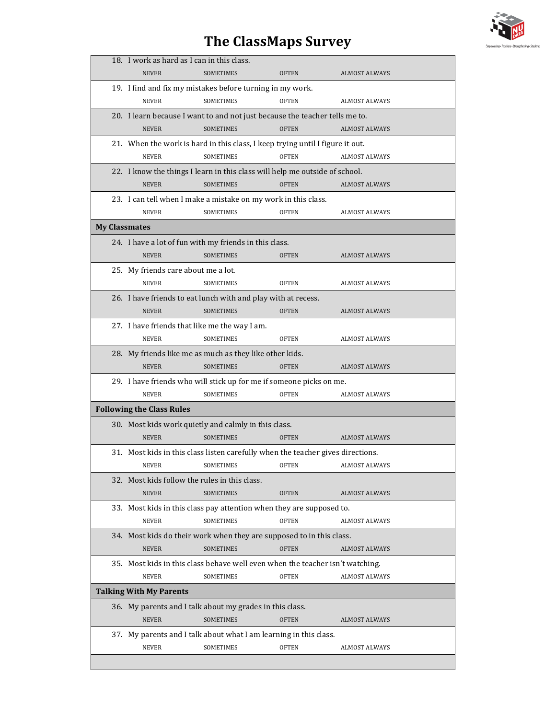## **The ClassMaps Survey**



|                                | 18. I work as hard as I can in this class.                                      |                  |              |                      |  |  |  |  |
|--------------------------------|---------------------------------------------------------------------------------|------------------|--------------|----------------------|--|--|--|--|
|                                | <b>NEVER</b>                                                                    | <b>SOMETIMES</b> | <b>OFTEN</b> | <b>ALMOST ALWAYS</b> |  |  |  |  |
|                                | 19. I find and fix my mistakes before turning in my work.                       |                  |              |                      |  |  |  |  |
|                                | <b>NEVER</b>                                                                    | <b>SOMETIMES</b> | <b>OFTEN</b> | <b>ALMOST ALWAYS</b> |  |  |  |  |
|                                | 20. I learn because I want to and not just because the teacher tells me to.     |                  |              |                      |  |  |  |  |
|                                | <b>NEVER</b>                                                                    | <b>SOMETIMES</b> | <b>OFTEN</b> | <b>ALMOST ALWAYS</b> |  |  |  |  |
|                                | 21. When the work is hard in this class, I keep trying until I figure it out.   |                  |              |                      |  |  |  |  |
|                                | <b>NEVER</b>                                                                    | <b>SOMETIMES</b> | <b>OFTEN</b> | <b>ALMOST ALWAYS</b> |  |  |  |  |
|                                | 22. I know the things I learn in this class will help me outside of school.     |                  |              |                      |  |  |  |  |
|                                | <b>NEVER</b>                                                                    | <b>SOMETIMES</b> | <b>OFTEN</b> | <b>ALMOST ALWAYS</b> |  |  |  |  |
|                                | 23. I can tell when I make a mistake on my work in this class.                  |                  |              |                      |  |  |  |  |
|                                | <b>NEVER</b>                                                                    | SOMETIMES        | <b>OFTEN</b> | <b>ALMOST ALWAYS</b> |  |  |  |  |
| <b>My Classmates</b>           |                                                                                 |                  |              |                      |  |  |  |  |
|                                | 24. I have a lot of fun with my friends in this class.                          |                  |              |                      |  |  |  |  |
|                                | <b>NEVER</b>                                                                    | <b>SOMETIMES</b> | OFTEN        | <b>ALMOST ALWAYS</b> |  |  |  |  |
|                                | 25. My friends care about me a lot.                                             |                  |              |                      |  |  |  |  |
|                                | <b>NEVER</b>                                                                    | <b>SOMETIMES</b> | <b>OFTEN</b> | <b>ALMOST ALWAYS</b> |  |  |  |  |
|                                | 26. I have friends to eat lunch with and play with at recess.                   |                  |              |                      |  |  |  |  |
|                                | <b>NEVER</b>                                                                    | <b>SOMETIMES</b> | <b>OFTEN</b> | <b>ALMOST ALWAYS</b> |  |  |  |  |
|                                | 27. I have friends that like me the way I am.                                   |                  |              |                      |  |  |  |  |
|                                | <b>NEVER</b>                                                                    | SOMETIMES        | <b>OFTEN</b> | <b>ALMOST ALWAYS</b> |  |  |  |  |
|                                | 28. My friends like me as much as they like other kids.                         |                  |              |                      |  |  |  |  |
|                                | <b>NEVER</b>                                                                    | <b>SOMETIMES</b> | <b>OFTEN</b> | <b>ALMOST ALWAYS</b> |  |  |  |  |
|                                | 29. I have friends who will stick up for me if someone picks on me.             |                  |              |                      |  |  |  |  |
|                                | <b>NEVER</b>                                                                    | SOMETIMES        | <b>OFTEN</b> | <b>ALMOST ALWAYS</b> |  |  |  |  |
|                                | <b>Following the Class Rules</b>                                                |                  |              |                      |  |  |  |  |
|                                | 30. Most kids work quietly and calmly in this class.                            |                  |              |                      |  |  |  |  |
|                                | <b>NEVER</b>                                                                    | <b>SOMETIMES</b> | <b>OFTEN</b> | <b>ALMOST ALWAYS</b> |  |  |  |  |
|                                | 31. Most kids in this class listen carefully when the teacher gives directions. |                  |              |                      |  |  |  |  |
|                                | <b>NEVER</b>                                                                    | SOMETIMES        | OFTEN        | <b>ALMOST ALWAYS</b> |  |  |  |  |
|                                | 32. Most kids follow the rules in this class.                                   |                  |              |                      |  |  |  |  |
|                                | <b>NEVER</b>                                                                    | SOMETIMES        | <b>OFTEN</b> | <b>ALMOST ALWAYS</b> |  |  |  |  |
|                                | 33. Most kids in this class pay attention when they are supposed to.            |                  |              |                      |  |  |  |  |
|                                | <b>NEVER</b>                                                                    | SOMETIMES        | <b>OFTEN</b> | <b>ALMOST ALWAYS</b> |  |  |  |  |
|                                | 34. Most kids do their work when they are supposed to in this class.            |                  |              |                      |  |  |  |  |
|                                | <b>NEVER</b>                                                                    | <b>SOMETIMES</b> | <b>OFTEN</b> | <b>ALMOST ALWAYS</b> |  |  |  |  |
|                                | 35. Most kids in this class behave well even when the teacher isn't watching.   |                  |              |                      |  |  |  |  |
|                                | <b>NEVER</b>                                                                    | SOMETIMES        | <b>OFTEN</b> | <b>ALMOST ALWAYS</b> |  |  |  |  |
| <b>Talking With My Parents</b> |                                                                                 |                  |              |                      |  |  |  |  |
|                                | 36. My parents and I talk about my grades in this class.                        |                  |              |                      |  |  |  |  |
|                                | <b>NEVER</b>                                                                    | <b>SOMETIMES</b> | <b>OFTEN</b> | ALMOST ALWAYS        |  |  |  |  |
|                                | 37. My parents and I talk about what I am learning in this class.               |                  |              |                      |  |  |  |  |
|                                | NEVER                                                                           | SOMETIMES        | <b>OFTEN</b> | <b>ALMOST ALWAYS</b> |  |  |  |  |